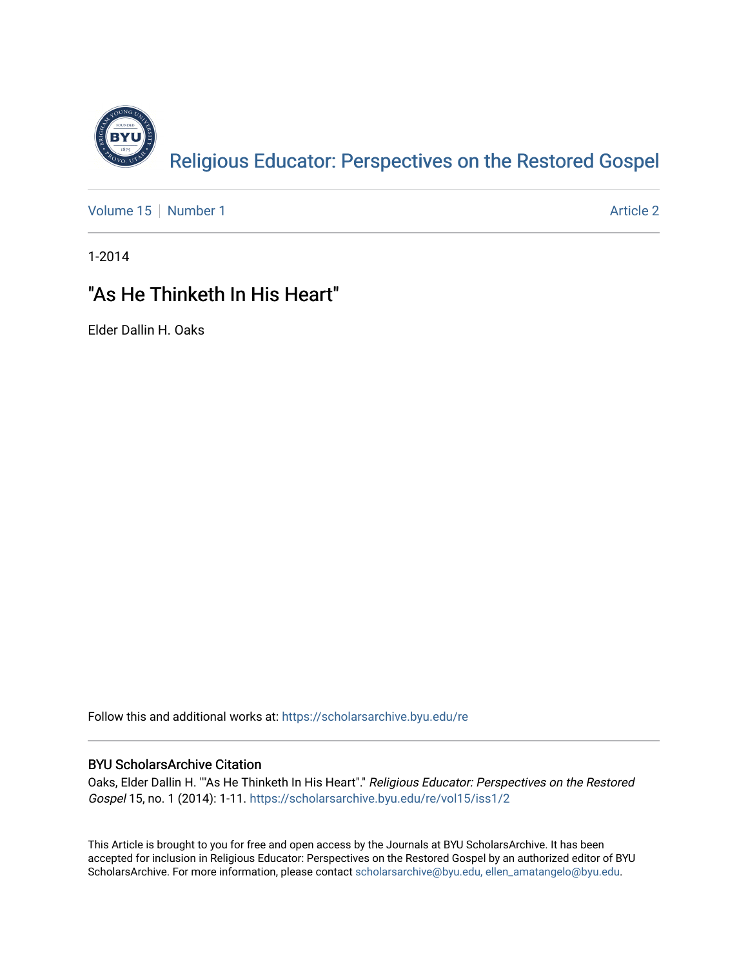

[Volume 15](https://scholarsarchive.byu.edu/re/vol15) [Number 1](https://scholarsarchive.byu.edu/re/vol15/iss1) Article 2

1-2014

## "As He Thinketh In His Heart"

Elder Dallin H. Oaks

Follow this and additional works at: [https://scholarsarchive.byu.edu/re](https://scholarsarchive.byu.edu/re?utm_source=scholarsarchive.byu.edu%2Fre%2Fvol15%2Fiss1%2F2&utm_medium=PDF&utm_campaign=PDFCoverPages)

### BYU ScholarsArchive Citation

Oaks, Elder Dallin H. ""As He Thinketh In His Heart"." Religious Educator: Perspectives on the Restored Gospel 15, no. 1 (2014): 1-11. [https://scholarsarchive.byu.edu/re/vol15/iss1/2](https://scholarsarchive.byu.edu/re/vol15/iss1/2?utm_source=scholarsarchive.byu.edu%2Fre%2Fvol15%2Fiss1%2F2&utm_medium=PDF&utm_campaign=PDFCoverPages) 

This Article is brought to you for free and open access by the Journals at BYU ScholarsArchive. It has been accepted for inclusion in Religious Educator: Perspectives on the Restored Gospel by an authorized editor of BYU ScholarsArchive. For more information, please contact [scholarsarchive@byu.edu, ellen\\_amatangelo@byu.edu.](mailto:scholarsarchive@byu.edu,%20ellen_amatangelo@byu.edu)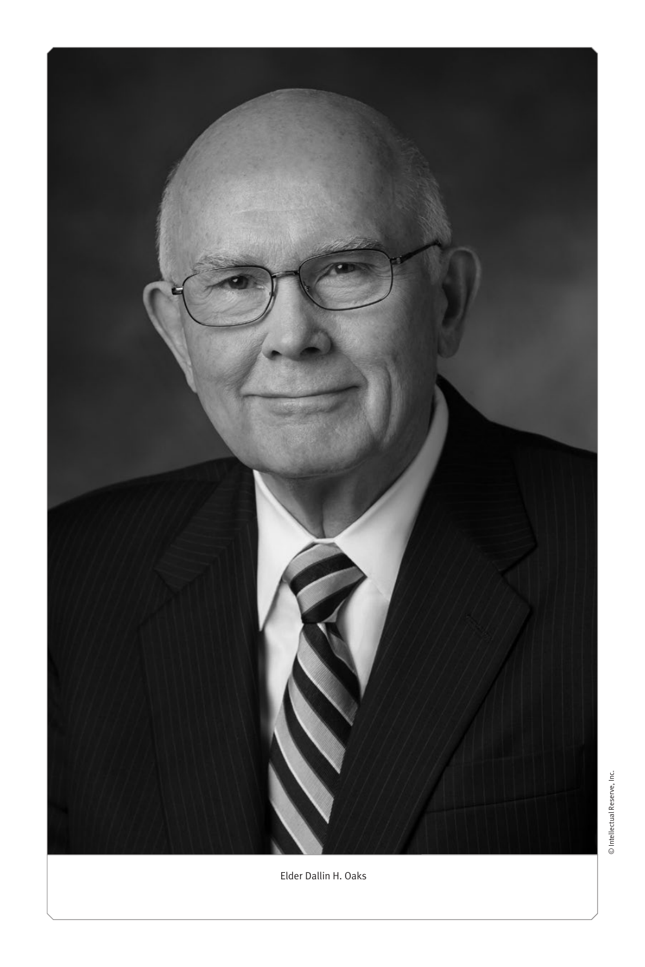

© Intellectual Reserve, Inc. © Intellectual Reserve, Inc.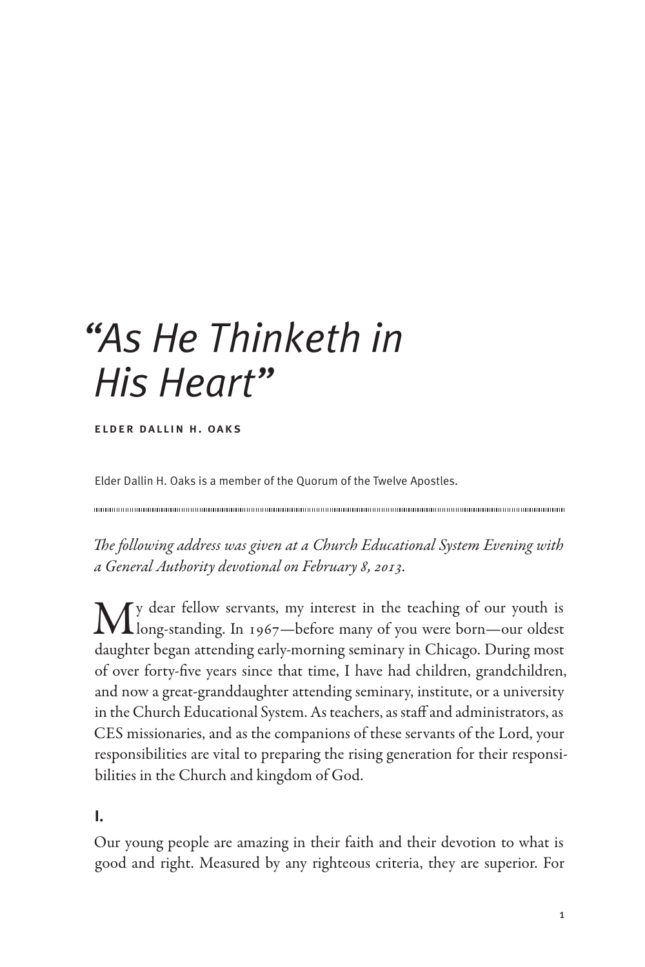# *"As He Thinketh in His Heart"*

elder dallin h. oaks

Elder Dallin H. Oaks is a member of the Quorum of the Twelve Apostles.

*The following address was given at a Church Educational System Evening with a General Authority devotional on February 8, 2013.*

My dear fellow servants, my interest in the teaching of our youth is long-standing. In 1967—before many of you were born—our oldest daughter began attending early-morning seminary in Chicago. During most of over forty-five years since that time, I have had children, grandchildren, and now a great-granddaughter attending seminary, institute, or a university in the Church Educational System. As teachers, as staff and administrators, as CES missionaries, and as the companions of these servants of the Lord, your responsibilities are vital to preparing the rising generation for their responsibilities in the Church and kingdom of God.

**I.**

Our young people are amazing in their faith and their devotion to what is good and right. Measured by any righteous criteria, they are superior. For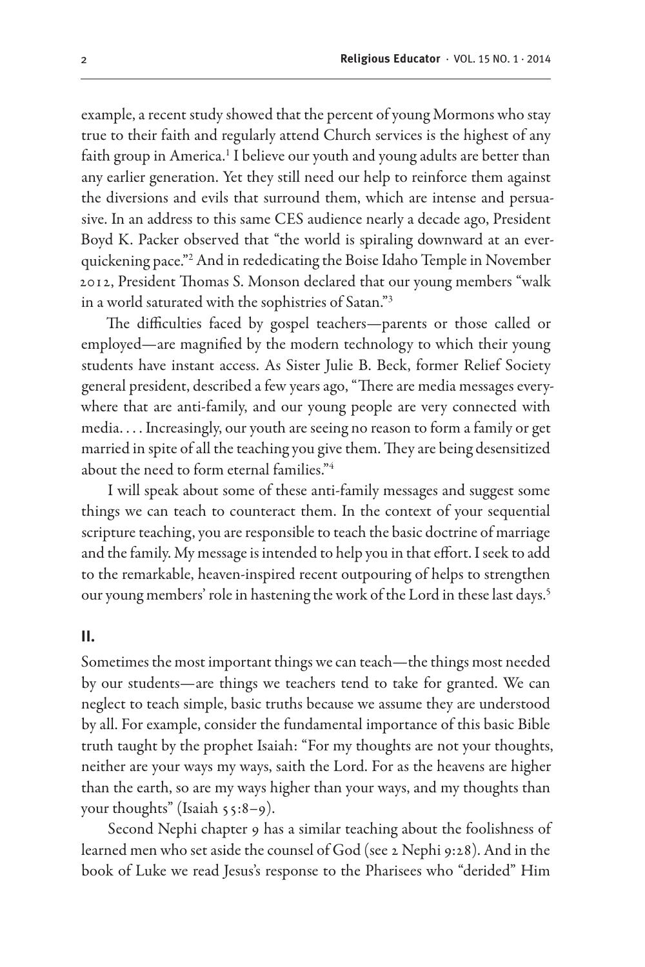example, a recent study showed that the percent of young Mormons who stay true to their faith and regularly attend Church services is the highest of any faith group in America.<sup>1</sup> I believe our youth and young adults are better than any earlier generation. Yet they still need our help to reinforce them against the diversions and evils that surround them, which are intense and persuasive. In an address to this same CES audience nearly a decade ago, President Boyd K. Packer observed that "the world is spiraling downward at an everquickening pace."2 And in rededicating the Boise Idaho Temple in November 2012, President Thomas S. Monson declared that our young members "walk in a world saturated with the sophistries of Satan."3

The difficulties faced by gospel teachers—parents or those called or employed—are magnified by the modern technology to which their young students have instant access. As Sister Julie B. Beck, former Relief Society general president, described a few years ago, "There are media messages everywhere that are anti-family, and our young people are very connected with media. . . . Increasingly, our youth are seeing no reason to form a family or get married in spite of all the teaching you give them. They are being desensitized about the need to form eternal families."4

I will speak about some of these anti-family messages and suggest some things we can teach to counteract them. In the context of your sequential scripture teaching, you are responsible to teach the basic doctrine of marriage and the family. My message is intended to help you in that effort. I seek to add to the remarkable, heaven-inspired recent outpouring of helps to strengthen our young members' role in hastening the work of the Lord in these last days.<sup>5</sup>

#### **II.**

Sometimes the most important things we can teach—the things most needed by our students—are things we teachers tend to take for granted. We can neglect to teach simple, basic truths because we assume they are understood by all. For example, consider the fundamental importance of this basic Bible truth taught by the prophet Isaiah: "For my thoughts are not your thoughts, neither are your ways my ways, saith the Lord. For as the heavens are higher than the earth, so are my ways higher than your ways, and my thoughts than your thoughts" (Isaiah 55:8–9).

Second Nephi chapter 9 has a similar teaching about the foolishness of learned men who set aside the counsel of God (see 2 Nephi 9:28). And in the book of Luke we read Jesus's response to the Pharisees who "derided" Him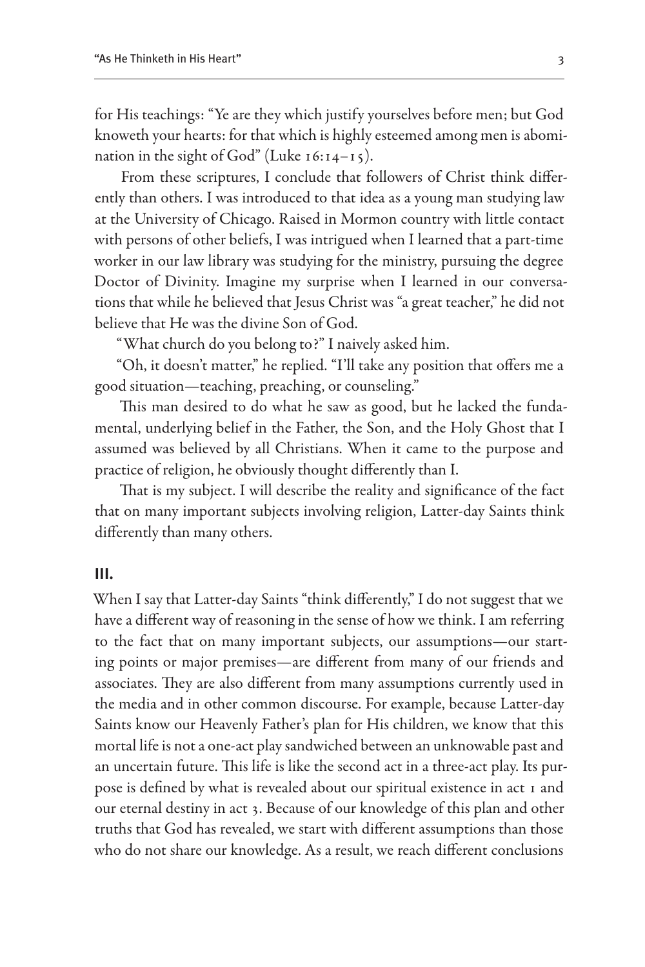for His teachings: "Ye are they which justify yourselves before men; but God knoweth your hearts: for that which is highly esteemed among men is abomination in the sight of God" (Luke  $16:14-15$ ).

From these scriptures, I conclude that followers of Christ think differently than others. I was introduced to that idea as a young man studying law at the University of Chicago. Raised in Mormon country with little contact with persons of other beliefs, I was intrigued when I learned that a part-time worker in our law library was studying for the ministry, pursuing the degree Doctor of Divinity. Imagine my surprise when I learned in our conversations that while he believed that Jesus Christ was "a great teacher," he did not believe that He was the divine Son of God.

"What church do you belong to?" I naively asked him.

"Oh, it doesn't matter," he replied. "I'll take any position that offers me a good situation—teaching, preaching, or counseling."

This man desired to do what he saw as good, but he lacked the fundamental, underlying belief in the Father, the Son, and the Holy Ghost that I assumed was believed by all Christians. When it came to the purpose and practice of religion, he obviously thought differently than I.

That is my subject. I will describe the reality and significance of the fact that on many important subjects involving religion, Latter-day Saints think differently than many others.

#### **III.**

When I say that Latter-day Saints "think differently," I do not suggest that we have a different way of reasoning in the sense of how we think. I am referring to the fact that on many important subjects, our assumptions—our starting points or major premises—are different from many of our friends and associates. They are also different from many assumptions currently used in the media and in other common discourse. For example, because Latter-day Saints know our Heavenly Father's plan for His children, we know that this mortal life is not a one-act play sandwiched between an unknowable past and an uncertain future. This life is like the second act in a three-act play. Its purpose is defined by what is revealed about our spiritual existence in act 1 and our eternal destiny in act 3. Because of our knowledge of this plan and other truths that God has revealed, we start with different assumptions than those who do not share our knowledge. As a result, we reach different conclusions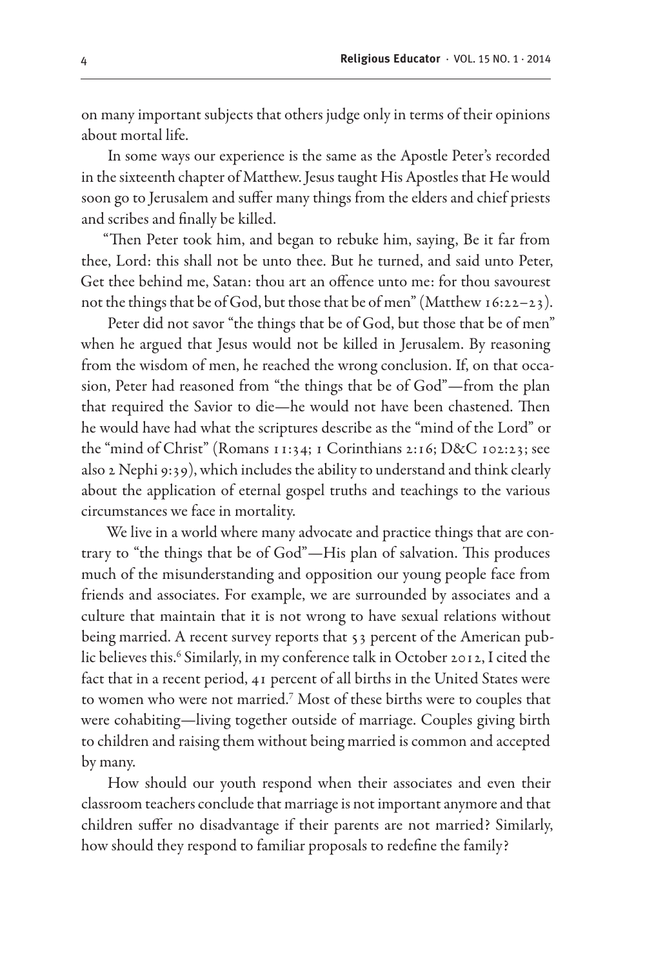on many important subjects that others judge only in terms of their opinions about mortal life.

In some ways our experience is the same as the Apostle Peter's recorded in the sixteenth chapter of Matthew. Jesus taught His Apostles that He would soon go to Jerusalem and suffer many things from the elders and chief priests and scribes and finally be killed.

"Then Peter took him, and began to rebuke him, saying, Be it far from thee, Lord: this shall not be unto thee. But he turned, and said unto Peter, Get thee behind me, Satan: thou art an offence unto me: for thou savourest not the things that be of God, but those that be of men" (Matthew 16:22–23).

Peter did not savor "the things that be of God, but those that be of men" when he argued that Jesus would not be killed in Jerusalem. By reasoning from the wisdom of men, he reached the wrong conclusion. If, on that occasion, Peter had reasoned from "the things that be of God"—from the plan that required the Savior to die—he would not have been chastened. Then he would have had what the scriptures describe as the "mind of the Lord" or the "mind of Christ" (Romans 11:34; 1 Corinthians 2:16; D&C 102:23; see also 2 Nephi 9:39), which includes the ability to understand and think clearly about the application of eternal gospel truths and teachings to the various circumstances we face in mortality.

We live in a world where many advocate and practice things that are contrary to "the things that be of God"—His plan of salvation. This produces much of the misunderstanding and opposition our young people face from friends and associates. For example, we are surrounded by associates and a culture that maintain that it is not wrong to have sexual relations without being married. A recent survey reports that 53 percent of the American public believes this.<sup>6</sup> Similarly, in my conference talk in October 2012, I cited the fact that in a recent period, 41 percent of all births in the United States were to women who were not married.<sup>7</sup> Most of these births were to couples that were cohabiting—living together outside of marriage. Couples giving birth to children and raising them without being married is common and accepted by many.

How should our youth respond when their associates and even their classroom teachers conclude that marriage is not important anymore and that children suffer no disadvantage if their parents are not married? Similarly, how should they respond to familiar proposals to redefine the family?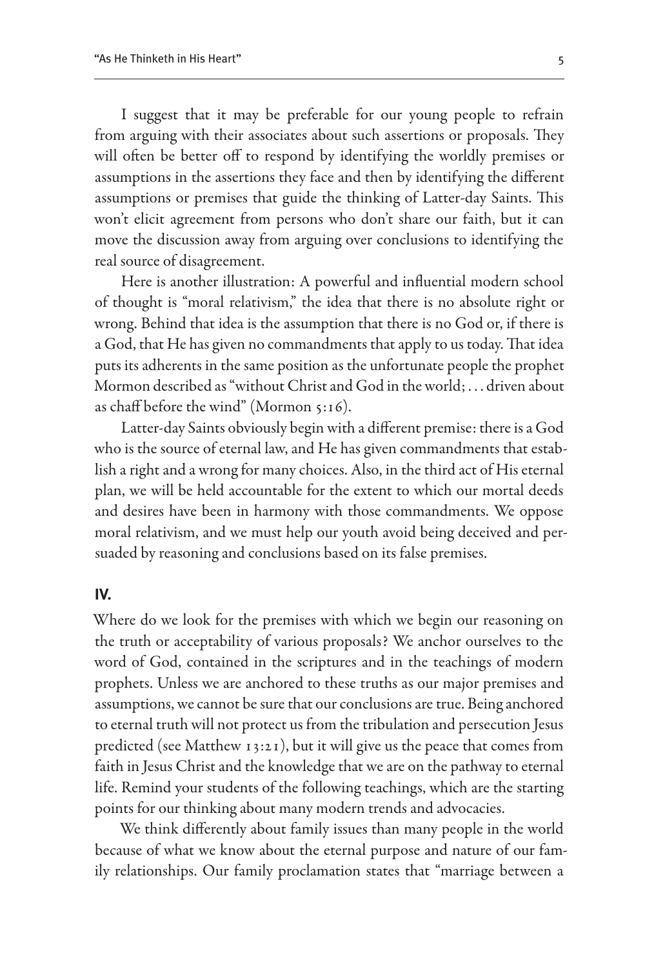I suggest that it may be preferable for our young people to refrain from arguing with their associates about such assertions or proposals. They will often be better off to respond by identifying the worldly premises or assumptions in the assertions they face and then by identifying the different assumptions or premises that guide the thinking of Latter-day Saints. This won't elicit agreement from persons who don't share our faith, but it can move the discussion away from arguing over conclusions to identifying the real source of disagreement.

Here is another illustration: A powerful and influential modern school of thought is "moral relativism," the idea that there is no absolute right or wrong. Behind that idea is the assumption that there is no God or, if there is a God, that He has given no commandments that apply to us today. That idea puts its adherents in the same position as the unfortunate people the prophet Mormon described as "without Christ and God in the world; . . . driven about as chaff before the wind" (Mormon 5:16).

Latter-day Saints obviously begin with a different premise: there is a God who is the source of eternal law, and He has given commandments that establish a right and a wrong for many choices. Also, in the third act of His eternal plan, we will be held accountable for the extent to which our mortal deeds and desires have been in harmony with those commandments. We oppose moral relativism, and we must help our youth avoid being deceived and persuaded by reasoning and conclusions based on its false premises.

#### **IV.**

Where do we look for the premises with which we begin our reasoning on the truth or acceptability of various proposals? We anchor ourselves to the word of God, contained in the scriptures and in the teachings of modern prophets. Unless we are anchored to these truths as our major premises and assumptions, we cannot be sure that our conclusions are true. Being anchored to eternal truth will not protect us from the tribulation and persecution Jesus predicted (see Matthew 13:21), but it will give us the peace that comes from faith in Jesus Christ and the knowledge that we are on the pathway to eternal life. Remind your students of the following teachings, which are the starting points for our thinking about many modern trends and advocacies.

We think differently about family issues than many people in the world because of what we know about the eternal purpose and nature of our family relationships. Our family proclamation states that "marriage between a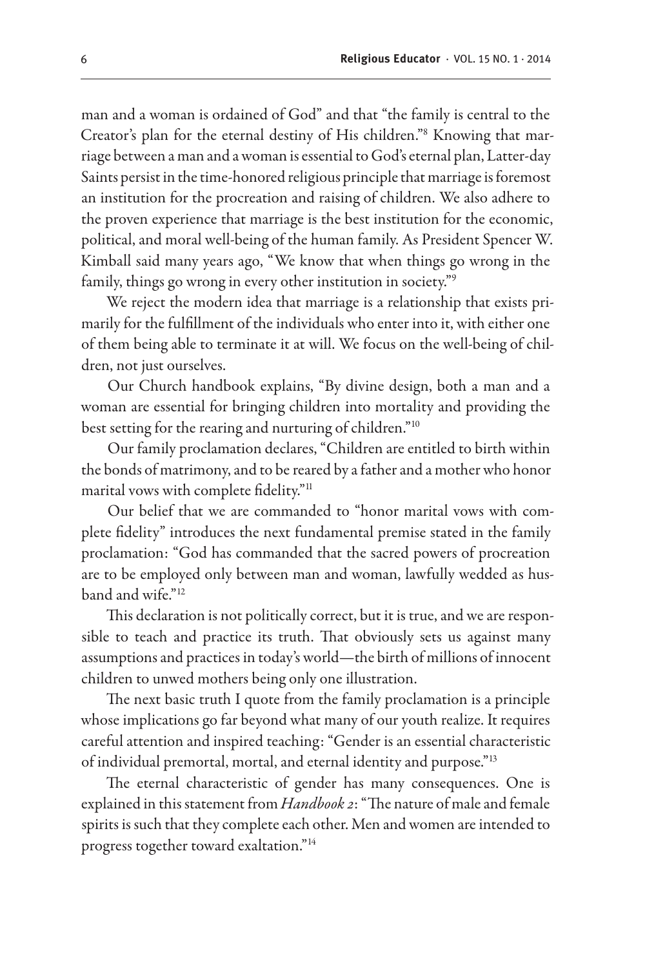man and a woman is ordained of God" and that "the family is central to the Creator's plan for the eternal destiny of His children."8 Knowing that marriage between a man and a woman is essential to God's eternal plan, Latter-day Saints persist in the time-honored religious principle that marriage is foremost an institution for the procreation and raising of children. We also adhere to the proven experience that marriage is the best institution for the economic, political, and moral well-being of the human family. As President Spencer W. Kimball said many years ago, "We know that when things go wrong in the family, things go wrong in every other institution in society."9

We reject the modern idea that marriage is a relationship that exists primarily for the fulfillment of the individuals who enter into it, with either one of them being able to terminate it at will. We focus on the well-being of children, not just ourselves.

Our Church handbook explains, "By divine design, both a man and a woman are essential for bringing children into mortality and providing the best setting for the rearing and nurturing of children."10

Our family proclamation declares, "Children are entitled to birth within the bonds of matrimony, and to be reared by a father and a mother who honor marital vows with complete fidelity."<sup>11</sup>

Our belief that we are commanded to "honor marital vows with complete fidelity" introduces the next fundamental premise stated in the family proclamation: "God has commanded that the sacred powers of procreation are to be employed only between man and woman, lawfully wedded as husband and wife."12

This declaration is not politically correct, but it is true, and we are responsible to teach and practice its truth. That obviously sets us against many assumptions and practices in today's world—the birth of millions of innocent children to unwed mothers being only one illustration.

The next basic truth I quote from the family proclamation is a principle whose implications go far beyond what many of our youth realize. It requires careful attention and inspired teaching: "Gender is an essential characteristic of individual premortal, mortal, and eternal identity and purpose."13

The eternal characteristic of gender has many consequences. One is explained in this statement from *Handbook 2*: "The nature of male and female spirits is such that they complete each other. Men and women are intended to progress together toward exaltation."14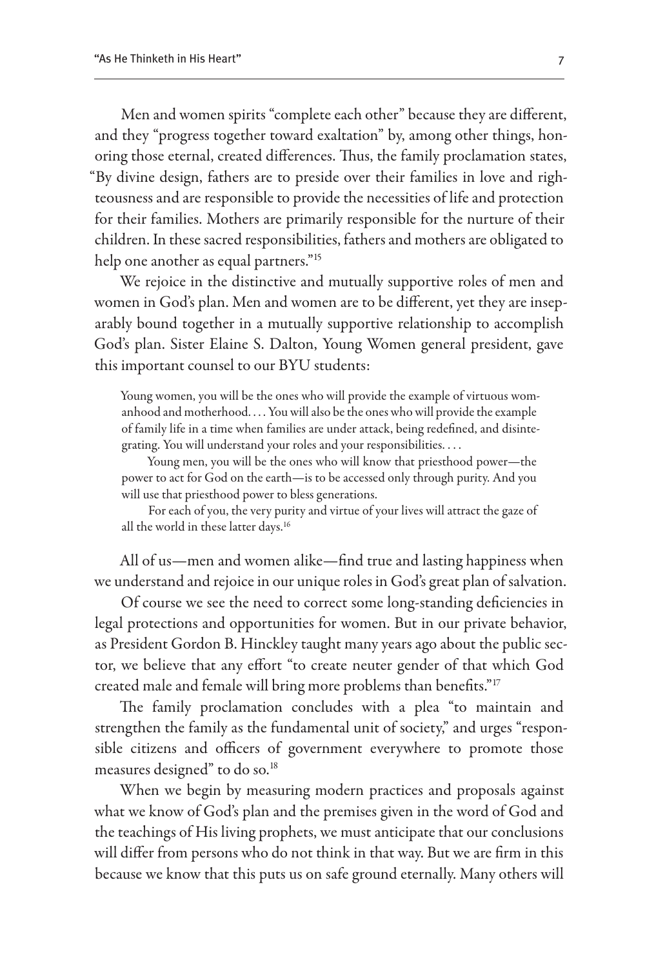Men and women spirits "complete each other" because they are different, and they "progress together toward exaltation" by, among other things, honoring those eternal, created differences. Thus, the family proclamation states, "By divine design, fathers are to preside over their families in love and righteousness and are responsible to provide the necessities of life and protection for their families. Mothers are primarily responsible for the nurture of their children. In these sacred responsibilities, fathers and mothers are obligated to help one another as equal partners."15

We rejoice in the distinctive and mutually supportive roles of men and women in God's plan. Men and women are to be different, yet they are inseparably bound together in a mutually supportive relationship to accomplish God's plan. Sister Elaine S. Dalton, Young Women general president, gave this important counsel to our BYU students:

Young women, you will be the ones who will provide the example of virtuous womanhood and motherhood. . . . You will also be the ones who will provide the example of family life in a time when families are under attack, being redefined, and disintegrating. You will understand your roles and your responsibilities. . . .

Young men, you will be the ones who will know that priesthood power—the power to act for God on the earth—is to be accessed only through purity. And you will use that priesthood power to bless generations.

For each of you, the very purity and virtue of your lives will attract the gaze of all the world in these latter days.16

All of us—men and women alike—find true and lasting happiness when we understand and rejoice in our unique roles in God's great plan of salvation.

Of course we see the need to correct some long-standing deficiencies in legal protections and opportunities for women. But in our private behavior, as President Gordon B. Hinckley taught many years ago about the public sector, we believe that any effort "to create neuter gender of that which God created male and female will bring more problems than benefits."<sup>17</sup>

The family proclamation concludes with a plea "to maintain and strengthen the family as the fundamental unit of society," and urges "responsible citizens and officers of government everywhere to promote those measures designed" to do so.18

When we begin by measuring modern practices and proposals against what we know of God's plan and the premises given in the word of God and the teachings of His living prophets, we must anticipate that our conclusions will differ from persons who do not think in that way. But we are firm in this because we know that this puts us on safe ground eternally. Many others will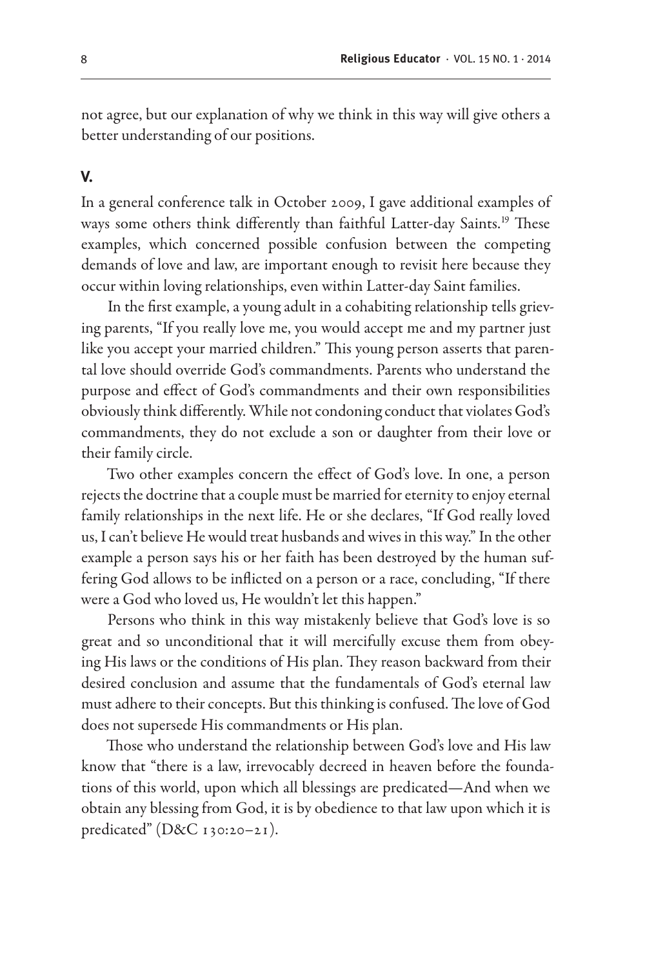not agree, but our explanation of why we think in this way will give others a better understanding of our positions.

#### **V.**

In a general conference talk in October 2009, I gave additional examples of ways some others think differently than faithful Latter-day Saints.19 These examples, which concerned possible confusion between the competing demands of love and law, are important enough to revisit here because they occur within loving relationships, even within Latter-day Saint families.

In the first example, a young adult in a cohabiting relationship tells grieving parents, "If you really love me, you would accept me and my partner just like you accept your married children." This young person asserts that parental love should override God's commandments. Parents who understand the purpose and effect of God's commandments and their own responsibilities obviously think differently. While not condoning conduct that violates God's commandments, they do not exclude a son or daughter from their love or their family circle.

Two other examples concern the effect of God's love. In one, a person rejects the doctrine that a couple must be married for eternity to enjoy eternal family relationships in the next life. He or she declares, "If God really loved us, I can't believe He would treat husbands and wives in this way." In the other example a person says his or her faith has been destroyed by the human suffering God allows to be inflicted on a person or a race, concluding, "If there were a God who loved us, He wouldn't let this happen."

Persons who think in this way mistakenly believe that God's love is so great and so unconditional that it will mercifully excuse them from obeying His laws or the conditions of His plan. They reason backward from their desired conclusion and assume that the fundamentals of God's eternal law must adhere to their concepts. But this thinking is confused. The love of God does not supersede His commandments or His plan.

Those who understand the relationship between God's love and His law know that "there is a law, irrevocably decreed in heaven before the foundations of this world, upon which all blessings are predicated—And when we obtain any blessing from God, it is by obedience to that law upon which it is predicated" (D&C 130:20–21).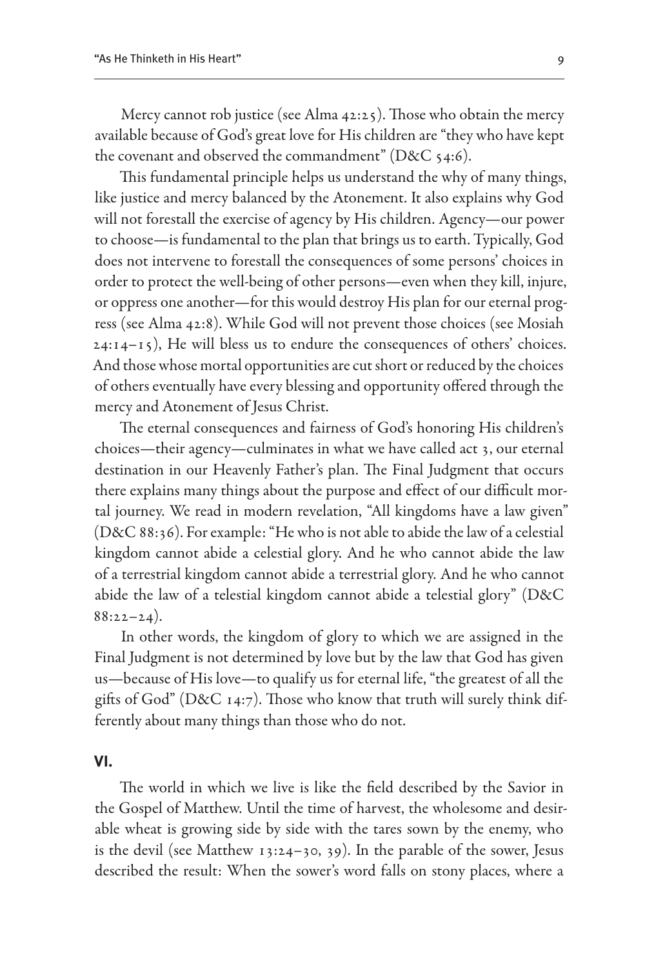Mercy cannot rob justice (see Alma 42:25). Those who obtain the mercy available because of God's great love for His children are "they who have kept the covenant and observed the commandment" ( $D&C$  54:6).

This fundamental principle helps us understand the why of many things, like justice and mercy balanced by the Atonement. It also explains why God will not forestall the exercise of agency by His children. Agency—our power to choose—is fundamental to the plan that brings us to earth. Typically, God does not intervene to forestall the consequences of some persons' choices in order to protect the well-being of other persons—even when they kill, injure, or oppress one another—for this would destroy His plan for our eternal progress (see Alma 42:8). While God will not prevent those choices (see Mosiah  $24:14-15$ , He will bless us to endure the consequences of others' choices. And those whose mortal opportunities are cut short or reduced by the choices of others eventually have every blessing and opportunity offered through the mercy and Atonement of Jesus Christ.

The eternal consequences and fairness of God's honoring His children's choices—their agency—culminates in what we have called act 3, our eternal destination in our Heavenly Father's plan. The Final Judgment that occurs there explains many things about the purpose and effect of our difficult mortal journey. We read in modern revelation, "All kingdoms have a law given" (D&C 88:36). For example: "He who is not able to abide the law of a celestial kingdom cannot abide a celestial glory. And he who cannot abide the law of a terrestrial kingdom cannot abide a terrestrial glory. And he who cannot abide the law of a telestial kingdom cannot abide a telestial glory" (D&C  $88:22-24$ ).

In other words, the kingdom of glory to which we are assigned in the Final Judgment is not determined by love but by the law that God has given us—because of His love—to qualify us for eternal life, "the greatest of all the gifts of God" (D&C 14:7). Those who know that truth will surely think differently about many things than those who do not.

#### **VI.**

The world in which we live is like the field described by the Savior in the Gospel of Matthew. Until the time of harvest, the wholesome and desirable wheat is growing side by side with the tares sown by the enemy, who is the devil (see Matthew 13:24–30, 39). In the parable of the sower, Jesus described the result: When the sower's word falls on stony places, where a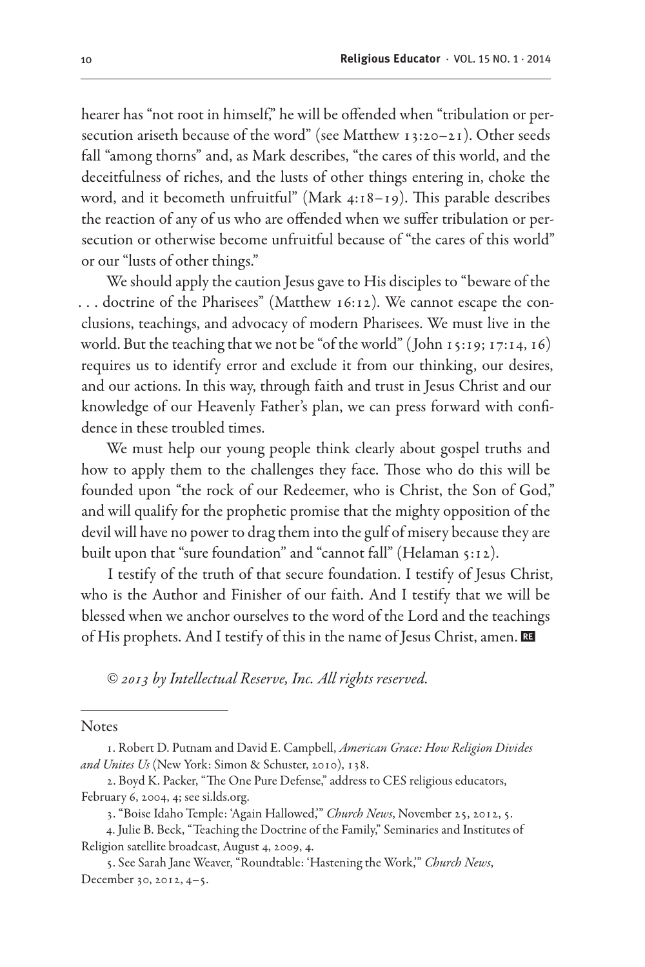hearer has "not root in himself," he will be offended when "tribulation or persecution ariseth because of the word" (see Matthew 13:20–21). Other seeds fall "among thorns" and, as Mark describes, "the cares of this world, and the deceitfulness of riches, and the lusts of other things entering in, choke the word, and it becometh unfruitful" (Mark 4:18–19). This parable describes the reaction of any of us who are offended when we suffer tribulation or persecution or otherwise become unfruitful because of "the cares of this world" or our "lusts of other things."

We should apply the caution Jesus gave to His disciples to "beware of the . . . doctrine of the Pharisees" (Matthew 16:12). We cannot escape the conclusions, teachings, and advocacy of modern Pharisees. We must live in the world. But the teaching that we not be "of the world" ( John 15:19; 17:14, 16) requires us to identify error and exclude it from our thinking, our desires, and our actions. In this way, through faith and trust in Jesus Christ and our knowledge of our Heavenly Father's plan, we can press forward with confidence in these troubled times.

We must help our young people think clearly about gospel truths and how to apply them to the challenges they face. Those who do this will be founded upon "the rock of our Redeemer, who is Christ, the Son of God," and will qualify for the prophetic promise that the mighty opposition of the devil will have no power to drag them into the gulf of misery because they are built upon that "sure foundation" and "cannot fall" (Helaman 5:12).

I testify of the truth of that secure foundation. I testify of Jesus Christ, who is the Author and Finisher of our faith. And I testify that we will be blessed when we anchor ourselves to the word of the Lord and the teachings of His prophets. And I testify of this in the name of Jesus Christ, amen. E

*© 2013 by Intellectual Reserve, Inc. All rights reserved.*

**Notes** 

4. Julie B. Beck, "Teaching the Doctrine of the Family," Seminaries and Institutes of Religion satellite broadcast, August 4, 2009, 4.

<sup>1.</sup> Robert D. Putnam and David E. Campbell, *American Grace: How Religion Divides and Unites Us* (New York: Simon & Schuster, 2010), 138.

<sup>2.</sup> Boyd K. Packer, "The One Pure Defense," address to CES religious educators, February 6, 2004, 4; see si.lds.org.

<sup>3. &</sup>quot;Boise Idaho Temple: 'Again Hallowed,'" *Church News*, November 25, 2012, 5.

<sup>5.</sup> See Sarah Jane Weaver, "Roundtable: 'Hastening the Work,'" *Church News*, December 30, 2012, 4–5.